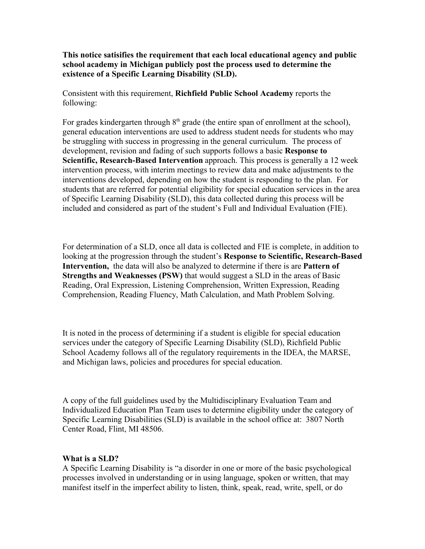**This notice satisifies the requirement that each local educational agency and public school academy in Michigan publicly post the process used to determine the existence of a Specific Learning Disability (SLD).** 

Consistent with this requirement, **Richfield Public School Academy** reports the following:

For grades kindergarten through  $8<sup>th</sup>$  grade (the entire span of enrollment at the school), general education interventions are used to address student needs for students who may be struggling with success in progressing in the general curriculum. The process of development, revision and fading of such supports follows a basic **Response to Scientific, Research-Based Intervention** approach. This process is generally a 12 week intervention process, with interim meetings to review data and make adjustments to the interventions developed, depending on how the student is responding to the plan. For students that are referred for potential eligibility for special education services in the area of Specific Learning Disability (SLD), this data collected during this process will be included and considered as part of the student's Full and Individual Evaluation (FIE).

For determination of a SLD, once all data is collected and FIE is complete, in addition to looking at the progression through the student's **Response to Scientific, Research-Based Intervention,** the data will also be analyzed to determine if there is are **Pattern of Strengths and Weaknesses (PSW)** that would suggest a SLD in the areas of Basic Reading, Oral Expression, Listening Comprehension, Written Expression, Reading Comprehension, Reading Fluency, Math Calculation, and Math Problem Solving.

It is noted in the process of determining if a student is eligible for special education services under the category of Specific Learning Disability (SLD), Richfield Public School Academy follows all of the regulatory requirements in the IDEA, the MARSE, and Michigan laws, policies and procedures for special education.

A copy of the full guidelines used by the Multidisciplinary Evaluation Team and Individualized Education Plan Team uses to determine eligibility under the category of Specific Learning Disabilities (SLD) is available in the school office at: 3807 North Center Road, Flint, MI 48506.

## **What is a SLD?**

A Specific Learning Disability is "a disorder in one or more of the basic psychological processes involved in understanding or in using language, spoken or written, that may manifest itself in the imperfect ability to listen, think, speak, read, write, spell, or do